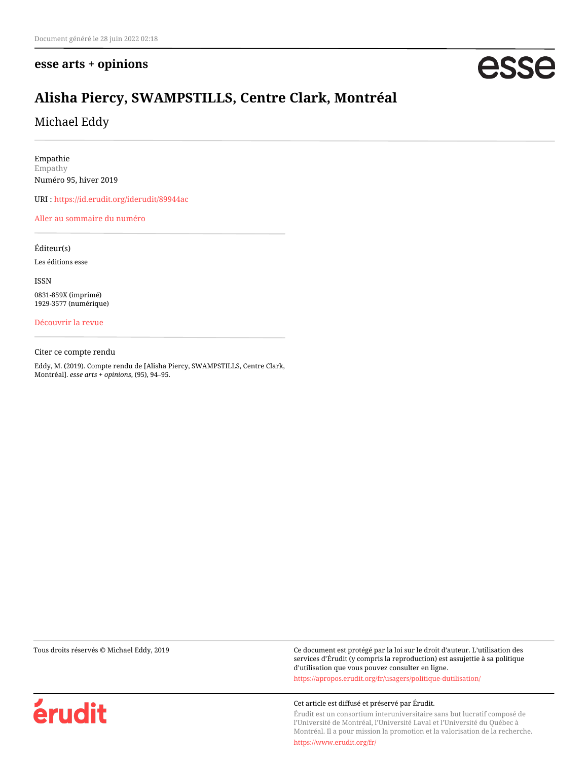## **esse arts + opinions**

# esse

## **Alisha Piercy, SWAMPSTILLS, Centre Clark, Montréal**

Michael Eddy

Empathie Empathy Numéro 95, hiver 2019

URI :<https://id.erudit.org/iderudit/89944ac>

[Aller au sommaire du numéro](https://www.erudit.org/fr/revues/esse/2019-n95-esse04304/)

Éditeur(s) Les éditions esse

ISSN

0831-859X (imprimé) 1929-3577 (numérique)

[Découvrir la revue](https://www.erudit.org/fr/revues/esse/)

Citer ce compte rendu

Eddy, M. (2019). Compte rendu de [Alisha Piercy, SWAMPSTILLS, Centre Clark, Montréal]. *esse arts + opinions*, (95), 94–95.

Tous droits réservés © Michael Eddy, 2019 Ce document est protégé par la loi sur le droit d'auteur. L'utilisation des services d'Érudit (y compris la reproduction) est assujettie à sa politique d'utilisation que vous pouvez consulter en ligne.

<https://apropos.erudit.org/fr/usagers/politique-dutilisation/>



#### Cet article est diffusé et préservé par Érudit.

Érudit est un consortium interuniversitaire sans but lucratif composé de l'Université de Montréal, l'Université Laval et l'Université du Québec à Montréal. Il a pour mission la promotion et la valorisation de la recherche.

<https://www.erudit.org/fr/>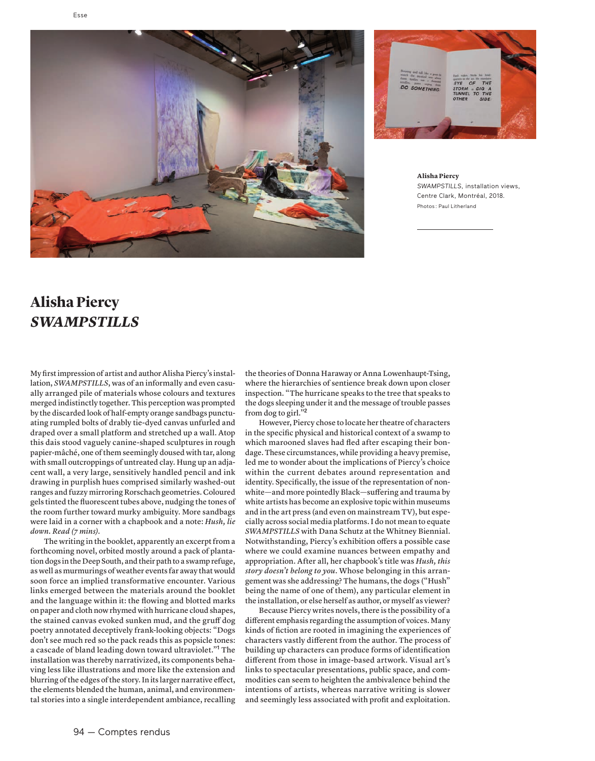



 **Alisha Piercy** *SWAMPSTILLS*, installation views, Centre Clark, Montréal, 2018. Photos : Paul Litherland

# **Alisha Piercy** *SWAMPSTILLS*

My first impression of artist and author Alisha Piercy's installation, *SWAMPSTILLS*, was of an informally and even casually arranged pile of materials whose colours and textures merged indistinctly together. This perception was prompted by the discarded look of half-empty orange sandbags punctuating rumpled bolts of drably tie-dyed canvas unfurled and draped over a small platform and stretched up a wall. Atop this dais stood vaguely canine-shaped sculptures in rough papier-mâché, one of them seemingly doused with tar, along with small outcroppings of untreated clay. Hung up an adjacent wall, a very large, sensitively handled pencil and ink drawing in purplish hues comprised similarly washed-out ranges and fuzzy mirroring Rorschach geometries. Coloured gels tinted the fluorescent tubes above, nudging the tones of the room further toward murky ambiguity. More sandbags were laid in a corner with a chapbook and a note: *Hush, lie down. Read (7 mins)*.

The writing in the booklet, apparently an excerpt from a forthcoming novel, orbited mostly around a pack of plantation dogs in the Deep South, and their path to a swamp refuge, as well as murmurings of weather events far away that would soon force an implied transformative encounter. Various links emerged between the materials around the booklet and the language within it: the flowing and blotted marks on paper and cloth now rhymed with hurricane cloud shapes, the stained canvas evoked sunken mud, and the gruff dog poetry annotated deceptively frank-looking objects: "Dogs don't see much red so the pack reads this as popsicle tones: a cascade of bland leading down toward ultraviolet."<sup>1</sup> The installation was thereby narrativized, its components behaving less like illustrations and more like the extension and blurring of the edges of the story. In its larger narrative effect, the elements blended the human, animal, and environmental stories into a single interdependent ambiance, recalling

the theories of Donna Haraway or Anna Lowenhaupt-Tsing, where the hierarchies of sentience break down upon closer inspection. "The hurricane speaks to the tree that speaks to the dogs sleeping under it and the message of trouble passes from dog to girl."<sup>2</sup>

However, Piercy chose to locate her theatre of characters in the specific physical and historical context of a swamp to which marooned slaves had fled after escaping their bondage. These circumstances, while providing a heavy premise, led me to wonder about the implications of Piercy's choice within the current debates around representation and identity. Specifically, the issue of the representation of nonwhite — and more pointedly Black — suffering and trauma by white artists has become an explosive topic within museums and in the art press (and even on mainstream TV), but especially across social media platforms. I do not mean to equate *SWAMPSTILLS* with Dana Schutz at the Whitney Biennial. Notwithstanding, Piercy's exhibition offers a possible case where we could examine nuances between empathy and appropriation. After all, her chapbook's title was *Hush, this story doesn't belong to you*. Whose belonging in this arrangement was she addressing? The humans, the dogs ("Hush" being the name of one of them), any particular element in the installation, or else herself as author, or myself as viewer?

Because Piercy writes novels, there is the possibility of a different emphasis regarding the assumption of voices. Many kinds of fiction are rooted in imagining the experiences of characters vastly different from the author. The process of building up characters can produce forms of identification different from those in image-based artwork. Visual art's links to spectacular presentations, public space, and commodities can seem to heighten the ambivalence behind the intentions of artists, whereas narrative writing is slower and seemingly less associated with profit and exploitation.